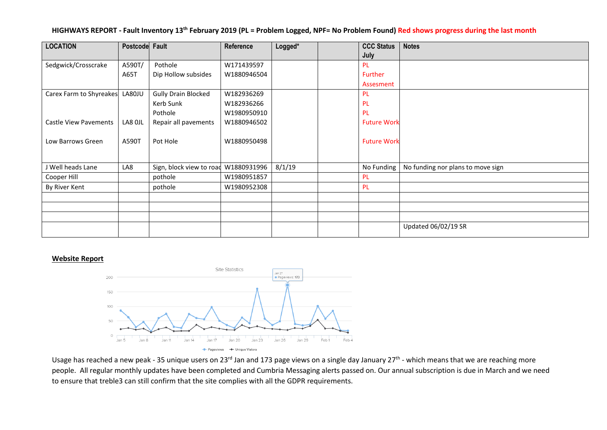|  |  |  |  |  | HIGHWAYS REPORT - Fault Inventory 13 <sup>th</sup> February 2019 (PL = Problem Logged, NPF= No Problem Found) Red shows progress during the last month |
|--|--|--|--|--|--------------------------------------------------------------------------------------------------------------------------------------------------------|
|--|--|--|--|--|--------------------------------------------------------------------------------------------------------------------------------------------------------|

| <b>LOCATION</b>              | Postcode Fault |                            | Reference   | Logged* | <b>CCC Status</b>  | <b>Notes</b>                      |
|------------------------------|----------------|----------------------------|-------------|---------|--------------------|-----------------------------------|
|                              |                |                            |             |         | July               |                                   |
| Sedgwick/Crosscrake          | A590T/         | Pothole                    | W171439597  |         | <b>PL</b>          |                                   |
|                              | A65T           | Dip Hollow subsides        | W1880946504 |         | Further            |                                   |
|                              |                |                            |             |         | Assesment          |                                   |
| Carex Farm to Shyreakes      | LA80JU         | <b>Gully Drain Blocked</b> | W182936269  |         | <b>PL</b>          |                                   |
|                              |                | Kerb Sunk                  | W182936266  |         | PL                 |                                   |
|                              |                | Pothole                    | W1980950910 |         | PL                 |                                   |
| <b>Castle View Pavements</b> | LA8 OJL        | Repair all pavements       | W1880946502 |         | <b>Future Work</b> |                                   |
|                              |                |                            |             |         |                    |                                   |
| Low Barrows Green            | A590T          | Pot Hole                   | W1880950498 |         | <b>Future Work</b> |                                   |
|                              |                |                            |             |         |                    |                                   |
|                              |                |                            |             |         |                    |                                   |
|                              |                |                            |             |         |                    |                                   |
| Cooper Hill                  |                | pothole                    | W1980951857 |         | <b>PL</b>          |                                   |
| By River Kent                |                | pothole                    | W1980952308 |         | PL.                |                                   |
|                              |                |                            |             |         |                    |                                   |
|                              |                |                            |             |         |                    |                                   |
|                              |                |                            |             |         |                    |                                   |
|                              |                |                            |             |         |                    | Updated 06/02/19 SR               |
| J Well heads Lane            | LA8            | Sign, block view to road   | W1880931996 | 8/1/19  | No Funding         | No funding nor plans to move sign |

#### **Website Report**



Usage has reached a new peak - 35 unique users on 23<sup>rd</sup> Jan and 173 page views on a single day January 27<sup>th</sup> - which means that we are reaching more people. All regular monthly updates have been completed and Cumbria Messaging alerts passed on. Our annual subscription is due in March and we need to ensure that treble3 can still confirm that the site complies with all the GDPR requirements.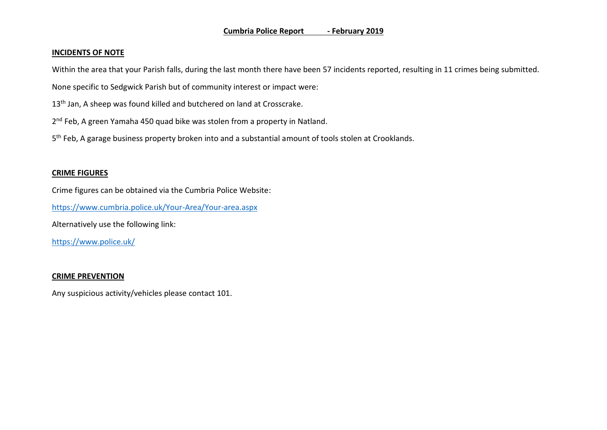#### **Cumbria Police Report - February 2019**

### **INCIDENTS OF NOTE**

Within the area that your Parish falls, during the last month there have been 57 incidents reported, resulting in 11 crimes being submitted.

None specific to Sedgwick Parish but of community interest or impact were:

13<sup>th</sup> Jan, A sheep was found killed and butchered on land at Crosscrake.

2<sup>nd</sup> Feb, A green Yamaha 450 quad bike was stolen from a property in Natland.

5<sup>th</sup> Feb, A garage business property broken into and a substantial amount of tools stolen at Crooklands.

# **CRIME FIGURES**

Crime figures can be obtained via the Cumbria Police Website:

<https://www.cumbria.police.uk/Your-Area/Your-area.aspx>

Alternatively use the following link:

<https://www.police.uk/>

# **CRIME PREVENTION**

Any suspicious activity/vehicles please contact 101.